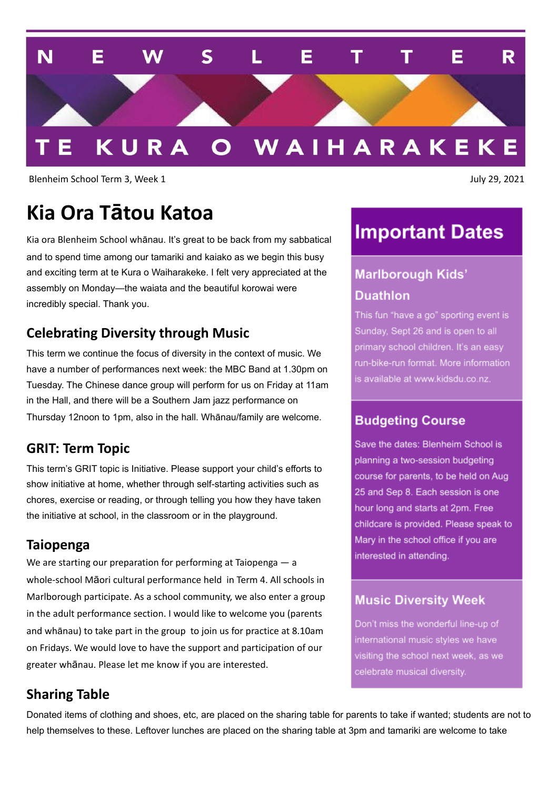

Blenheim School Term 3, Week 1 July 29, 2021

## **Kia Ora Tātou Katoa**

Kia ora Blenheim School whānau. It's great to be back from my sabbatical and to spend time among our tamariki and kaiako as we begin this busy and exciting term at te Kura o Waiharakeke. I felt very appreciated at the assembly on Monday—the waiata and the beautiful korowai were incredibly special. Thank you.

### **Celebrating Diversity through Music**

This term we continue the focus of diversity in the context of music. We have a number of performances next week: the MBC Band at 1.30pm on Tuesday. The Chinese dance group will perform for us on Friday at 11am in the Hall, and there will be a Southern Jam jazz performance on Thursday 12noon to 1pm, also in the hall. Whānau/family are welcome.

#### **GRIT: Term Topic**

This term's GRIT topic is Initiative. Please support your child's efforts to show initiative at home, whether through self-starting activities such as chores, exercise or reading, or through telling you how they have taken the initiative at school, in the classroom or in the playground.

#### **Taiopenga**

We are starting our preparation for performing at Taiopenga — a whole-school Māori cultural performance held in Term 4. All schools in Marlborough participate. As a school community, we also enter a group in the adult performance section. I would like to welcome you (parents and whānau) to take part in the group to join us for practice at 8.10am on Fridays. We would love to have the support and participation of our greater whānau. Please let me know if you are interested.

### **Sharing Table**

Donated items of clothing and shoes, etc, are placed on the sharing table for parents to take if wanted; students are not to help themselves to these. Leftover lunches are placed on the sharing table at 3pm and tamariki are welcome to take

## **Important Dates**

### **Marlborough Kids' Duathlon**

This fun "have a go" sporting event is Sunday, Sept 26 and is open to all primary school children. It's an easy run-bike-run format. More information is available at www.kidsdu.co.nz.

#### **Budgeting Course**

Save the dates: Blenheim School is planning a two-session budgeting course for parents, to be held on Aug 25 and Sep 8. Each session is one hour long and starts at 2pm. Free childcare is provided. Please speak to Mary in the school office if you are interested in attending.

#### **Music Diversity Week**

Don't miss the wonderful line-up of international music styles we have visiting the school next week, as we celebrate musical diversity.